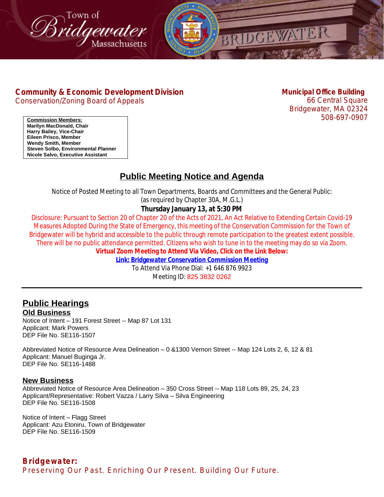



# **[Community & Economic Development Division](http://www.bridgewaterma.org/)**

[Conservation/Zoning Board of Appeals](http://www.bridgewaterma.org/)

**[Municipal Office Building](http://www.bridgewaterma.org/)** [66](http://www.bridgewaterma.org/) [Central Square](http://www.bridgewaterma.org/) [Bridgewater, MA 02324](http://www.bridgewaterma.org/) [508-697-0907](http://www.bridgewaterma.org/)

**[Commission Members:](https://us06web.zoom.us/j/82538320262) [Marilyn MacDonald, Chair](https://us06web.zoom.us/j/82538320262) [Harry Bailey, Vice-Chair](https://us06web.zoom.us/j/82538320262) [Eileen Prisco, Member](https://us06web.zoom.us/j/82538320262) [Wendy Smith, Member](https://us06web.zoom.us/j/82538320262) [Steven Solbo, Environmental Planner](https://us06web.zoom.us/j/82538320262) [Nicole Salvo, Executive Assistant](https://us06web.zoom.us/j/82538320262)**

# **Public Meeting Notice and Agenda**

Notice of Posted Meeting to all Town Departments, Boards and Committees and the General Public:

(as required by Chapter 30A, M.G.L.)

### **Thursday January 13, at 5:30 PM**

Disclosure: Pursuant to Section 20 of Chapter 20 of the Acts of 2021, An Act Relative to Extending Certain Covid-19 Measures Adopted During the State of Emergency, this meeting of the Conservation Commission for the Town of Bridgewater will be hybrid and accessible to the public through remote participation to the greatest extent possible. There will be no public attendance permitted. Citizens who wish to tune in to the meeting may do so via Zoom. **Virtual Zoom Meeting to Attend Via Video, Click on the Link Below:**

**[Link: Bridgewater Conservation Commission Meeting](https://us06web.zoom.us/j/82538320262)**

[To Attend Via Phone Dial: +1 646 876 9923](https://us06web.zoom.us/j/82538320262) [Meeting ID:](https://us06web.zoom.us/j/82538320262) [825 3832 0262](https://us06web.zoom.us/j/82538320262)

# **[Public Hearings](https://us06web.zoom.us/j/82538320262) [Old Business](https://us06web.zoom.us/j/82538320262)**

Notice of Intent – [191 Forest Street -- Map 87 Lot 131](https://us06web.zoom.us/j/82538320262) [Applicant: Mark Powers](https://us06web.zoom.us/j/82538320262) [DEP File No. SE116-1507](https://us06web.zoom.us/j/82538320262)

Abbreviated Notice of Resource Area Delineation – [0 &1300 Vernon Street -- Map 124 Lots 2, 6, 12 & 81](https://us06web.zoom.us/j/82538320262) [Applicant: Manuel Buginga Jr.](https://us06web.zoom.us/j/82538320262) [DEP File No. SE116-1488](https://us06web.zoom.us/j/82538320262)

### **[New Business](https://us06web.zoom.us/j/82538320262)**

[Abbreviated Notice of Resource Area Delineation](https://us06web.zoom.us/j/82538320262) – 350 Cross Street -- Map 118 Lots 89, 25, 24, 23 [Applicant/Representative: Robert Vazza / Larry Silva](https://us06web.zoom.us/j/82538320262) [–](https://us06web.zoom.us/j/82538320262) [Silva](https://us06web.zoom.us/j/82538320262) [Engineering](https://us06web.zoom.us/j/82538320262) [DEP File No. SE116-1508](https://us06web.zoom.us/j/82538320262)

[Notice of Intent](https://us06web.zoom.us/j/82538320262) – Flagg Street [Applicant: Azu Etoniru, Town of Bridgewater](https://us06web.zoom.us/j/82538320262) [DEP File No. SE116-1509](https://us06web.zoom.us/j/82538320262)